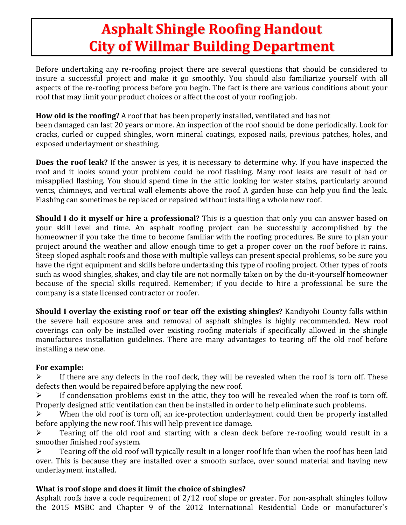# **Asphalt Shingle Roofing Handout City of Willmar Building Department**

Before undertaking any re-roofing project there are several questions that should be considered to insure a successful project and make it go smoothly. You should also familiarize yourself with all aspects of the re-roofing process before you begin. The fact is there are various conditions about your roof that may limit your product choices or affect the cost of your roofing job.

## **How old is the roofing?** A roof that has been properly installed, ventilated and has not

been damaged can last 20 years or more. An inspection of the roof should be done periodically. Look for cracks, curled or cupped shingles, worn mineral coatings, exposed nails, previous patches, holes, and exposed underlayment or sheathing.

**Does the roof leak?** If the answer is yes, it is necessary to determine why. If you have inspected the roof and it looks sound your problem could be roof flashing. Many roof leaks are result of bad or misapplied flashing. You should spend time in the attic looking for water stains, particularly around vents, chimneys, and vertical wall elements above the roof. A garden hose can help you find the leak. Flashing can sometimes be replaced or repaired without installing a whole new roof.

**Should I do it myself or hire a professional?** This is a question that only you can answer based on your skill level and time. An asphalt roofing project can be successfully accomplished by the homeowner if you take the time to become familiar with the roofing procedures. Be sure to plan your project around the weather and allow enough time to get a proper cover on the roof before it rains. Steep sloped asphalt roofs and those with multiple valleys can present special problems, so be sure you have the right equipment and skills before undertaking this type of roofing project. Other types of roofs such as wood shingles, shakes, and clay tile are not normally taken on by the do-it-yourself homeowner because of the special skills required. Remember; if you decide to hire a professional be sure the company is a state licensed contractor or roofer.

**Should I overlay the existing roof or tear off the existing shingles?** Kandiyohi County falls within the severe hail exposure area and removal of asphalt shingles is highly recommended. New roof coverings can only be installed over existing roofing materials if specifically allowed in the shingle manufactures installation guidelines. There are many advantages to tearing off the old roof before installing a new one.

## **For example:**

 $\triangleright$  If there are any defects in the roof deck, they will be revealed when the roof is torn off. These defects then would be repaired before applying the new roof.

 $\triangleright$  If condensation problems exist in the attic, they too will be revealed when the roof is torn off. Properly designed attic ventilation can then be installed in order to help eliminate such problems.

 When the old roof is torn off, an ice-protection underlayment could then be properly installed before applying the new roof. This will help prevent ice damage.

 $\triangleright$  Tearing off the old roof and starting with a clean deck before re-roofing would result in a smoother finished roof system.

 $\triangleright$  Tearing off the old roof will typically result in a longer roof life than when the roof has been laid over. This is because they are installed over a smooth surface, over sound material and having new underlayment installed.

# **What is roof slope and does it limit the choice of shingles?**

Asphalt roofs have a code requirement of 2/12 roof slope or greater. For non-asphalt shingles follow the 2015 MSBC and Chapter 9 of the 2012 International Residential Code or manufacturer's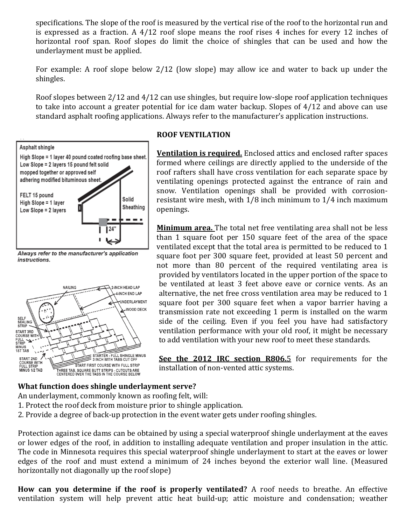specifications. The slope of the roof is measured by the vertical rise of the roof to the horizontal run and is expressed as a fraction. A 4/12 roof slope means the roof rises 4 inches for every 12 inches of horizontal roof span. Roof slopes do limit the choice of shingles that can be used and how the underlayment must be applied.

For example: A roof slope below 2/12 (low slope) may allow ice and water to back up under the shingles.

Roof slopes between 2/12 and 4/12 can use shingles, but require low-slope roof application techniques to take into account a greater potential for ice dam water backup. Slopes of 4/12 and above can use standard asphalt roofing applications. Always refer to the manufacturer's application instructions.



Always refer to the manufacturer's application instructions.



#### **ROOF VENTILATION**

**Ventilation is required.** Enclosed attics and enclosed rafter spaces formed where ceilings are directly applied to the underside of the roof rafters shall have cross ventilation for each separate space by ventilating openings protected against the entrance of rain and snow. Ventilation openings shall be provided with corrosionresistant wire mesh, with 1/8 inch minimum to 1/4 inch maximum openings.

**Minimum area.** The total net free ventilating area shall not be less than 1 square foot per 150 square feet of the area of the space ventilated except that the total area is permitted to be reduced to 1 square foot per 300 square feet, provided at least 50 percent and not more than 80 percent of the required ventilating area is provided by ventilators located in the upper portion of the space to be ventilated at least 3 feet above eave or cornice vents. As an alternative, the net free cross ventilation area may be reduced to 1 square foot per 300 square feet when a vapor barrier having a transmission rate not exceeding 1 perm is installed on the warm side of the ceiling. Even if you feel you have had satisfactory ventilation performance with your old roof, it might be necessary to add ventilation with your new roof to meet these standards.

**See the 2012 IRC section R806.**5 for requirements for the installation of non-vented attic systems.

#### **What function does shingle underlayment serve?**

An underlayment, commonly known as roofing felt, will:

- 1. Protect the roof deck from moisture prior to shingle application.
- 2. Provide a degree of back-up protection in the event water gets under roofing shingles.

Protection against ice dams can be obtained by using a special waterproof shingle underlayment at the eaves or lower edges of the roof, in addition to installing adequate ventilation and proper insulation in the attic. The code in Minnesota requires this special waterproof shingle underlayment to start at the eaves or lower edges of the roof and must extend a minimum of 24 inches beyond the exterior wall line. (Measured horizontally not diagonally up the roof slope)

**How can you determine if the roof is properly ventilated?** A roof needs to breathe. An effective ventilation system will help prevent attic heat build-up; attic moisture and condensation; weather